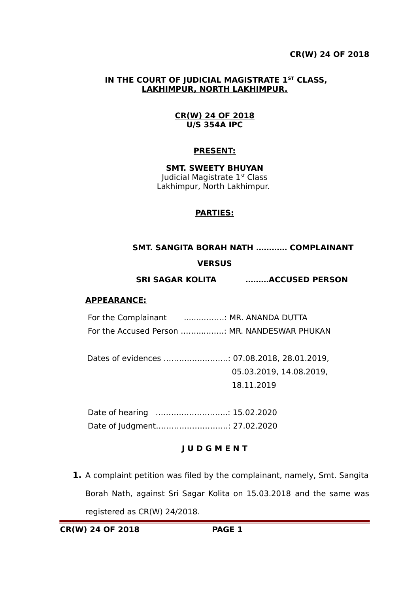### **IN THE COURT OF JUDICIAL MAGISTRATE 1ST CLASS, LAKHIMPUR, NORTH LAKHIMPUR.**

#### **CR(W) 24 OF 2018 U/S 354A IPC**

## **PRESENT:**

**SMT. SWEETY BHUYAN** Judicial Magistrate 1<sup>st</sup> Class Lakhimpur, North Lakhimpur.

## **PARTIES:**

 **SMT. SANGITA BORAH NATH ………… COMPLAINANT**

## **VERSUS**

**SRI SAGAR KOLITA ………ACCUSED PERSON**

### **APPEARANCE:**

For the Complainant .................. MR. ANANDA DUTTA For the Accused Person ……...…..…: MR. NANDESWAR PHUKAN

 Dates of evidences …………………….: 07.08.2018, 28.01.2019, 05.03.2019, 14.08.2019, 18.11.2019

 Date of hearing ……………………….: 15.02.2020 Date of Judgment……………………….: 27.02.2020

# **J U D G M E N T**

**1.** A complaint petition was filed by the complainant, namely, Smt. Sangita Borah Nath, against Sri Sagar Kolita on 15.03.2018 and the same was registered as CR(W) 24/2018.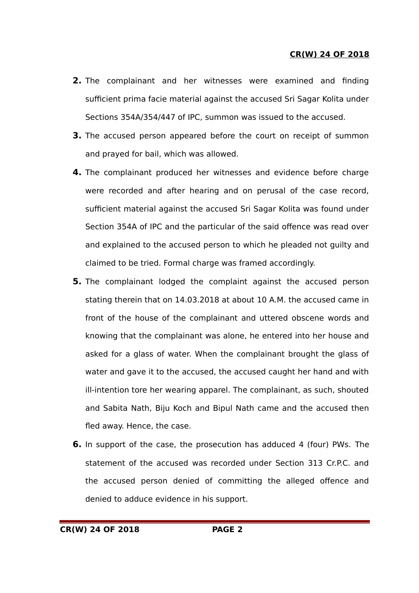- **2.** The complainant and her witnesses were examined and finding sufficient prima facie material against the accused Sri Sagar Kolita under Sections 354A/354/447 of IPC, summon was issued to the accused.
- **3.** The accused person appeared before the court on receipt of summon and prayed for bail, which was allowed.
- **4.** The complainant produced her witnesses and evidence before charge were recorded and after hearing and on perusal of the case record, sufficient material against the accused Sri Sagar Kolita was found under Section 354A of IPC and the particular of the said offence was read over and explained to the accused person to which he pleaded not guilty and claimed to be tried. Formal charge was framed accordingly.
- **5.** The complainant lodged the complaint against the accused person stating therein that on 14.03.2018 at about 10 A.M. the accused came in front of the house of the complainant and uttered obscene words and knowing that the complainant was alone, he entered into her house and asked for a glass of water. When the complainant brought the glass of water and gave it to the accused, the accused caught her hand and with ill-intention tore her wearing apparel. The complainant, as such, shouted and Sabita Nath, Biju Koch and Bipul Nath came and the accused then fled away. Hence, the case.
- **6.** In support of the case, the prosecution has adduced 4 (four) PWs. The statement of the accused was recorded under Section 313 Cr.P.C. and the accused person denied of committing the alleged offence and denied to adduce evidence in his support.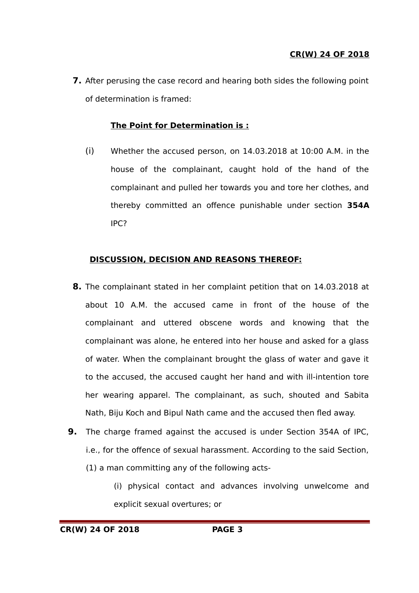**7.** After perusing the case record and hearing both sides the following point of determination is framed:

# **The Point for Determination is :**

(i) Whether the accused person, on 14.03.2018 at 10:00 A.M. in the house of the complainant, caught hold of the hand of the complainant and pulled her towards you and tore her clothes, and thereby committed an offence punishable under section **354A** IPC?

# **DISCUSSION, DECISION AND REASONS THEREOF:**

- **8.** The complainant stated in her complaint petition that on 14.03.2018 at about 10 A.M. the accused came in front of the house of the complainant and uttered obscene words and knowing that the complainant was alone, he entered into her house and asked for a glass of water. When the complainant brought the glass of water and gave it to the accused, the accused caught her hand and with ill-intention tore her wearing apparel. The complainant, as such, shouted and Sabita Nath, Biju Koch and Bipul Nath came and the accused then fled away.
- **9.** The charge framed against the accused is under Section 354A of IPC, i.e., for the offence of sexual harassment. According to the said Section, (1) a man committing any of the following acts-
	- (i) physical contact and advances involving unwelcome and explicit sexual overtures; or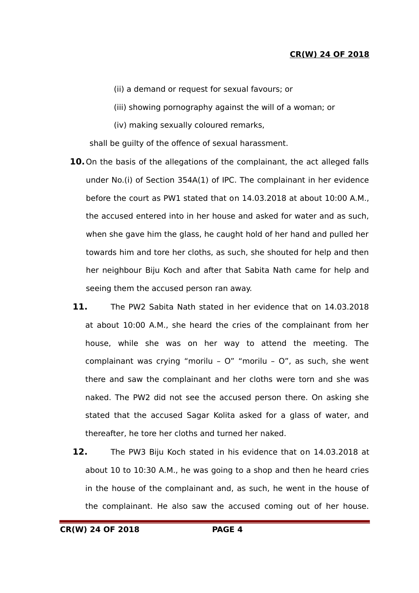- (ii) a demand or request for sexual favours; or
- (iii) showing pornography against the will of a woman; or
- (iv) making sexually coloured remarks,

shall be guilty of the offence of sexual harassment.

- **10.**On the basis of the allegations of the complainant, the act alleged falls under No.(i) of Section 354A(1) of IPC. The complainant in her evidence before the court as PW1 stated that on 14.03.2018 at about 10:00 A.M., the accused entered into in her house and asked for water and as such, when she gave him the glass, he caught hold of her hand and pulled her towards him and tore her cloths, as such, she shouted for help and then her neighbour Biju Koch and after that Sabita Nath came for help and seeing them the accused person ran away.
- **11.** The PW2 Sabita Nath stated in her evidence that on 14.03.2018 at about 10:00 A.M., she heard the cries of the complainant from her house, while she was on her way to attend the meeting. The complainant was crying "morilu – O" "morilu – O", as such, she went there and saw the complainant and her cloths were torn and she was naked. The PW2 did not see the accused person there. On asking she stated that the accused Sagar Kolita asked for a glass of water, and thereafter, he tore her cloths and turned her naked.
- **12.** The PW3 Biju Koch stated in his evidence that on 14.03.2018 at about 10 to 10:30 A.M., he was going to a shop and then he heard cries in the house of the complainant and, as such, he went in the house of the complainant. He also saw the accused coming out of her house.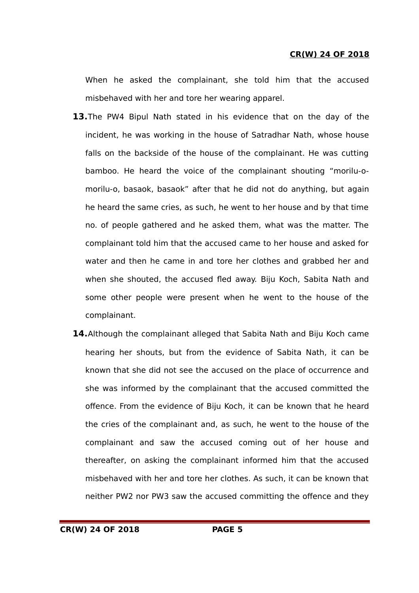When he asked the complainant, she told him that the accused misbehaved with her and tore her wearing apparel.

- **13.**The PW4 Bipul Nath stated in his evidence that on the day of the incident, he was working in the house of Satradhar Nath, whose house falls on the backside of the house of the complainant. He was cutting bamboo. He heard the voice of the complainant shouting "morilu-omorilu-o, basaok, basaok" after that he did not do anything, but again he heard the same cries, as such, he went to her house and by that time no. of people gathered and he asked them, what was the matter. The complainant told him that the accused came to her house and asked for water and then he came in and tore her clothes and grabbed her and when she shouted, the accused fled away. Biju Koch, Sabita Nath and some other people were present when he went to the house of the complainant.
- **14.**Although the complainant alleged that Sabita Nath and Biju Koch came hearing her shouts, but from the evidence of Sabita Nath, it can be known that she did not see the accused on the place of occurrence and she was informed by the complainant that the accused committed the offence. From the evidence of Biju Koch, it can be known that he heard the cries of the complainant and, as such, he went to the house of the complainant and saw the accused coming out of her house and thereafter, on asking the complainant informed him that the accused misbehaved with her and tore her clothes. As such, it can be known that neither PW2 nor PW3 saw the accused committing the offence and they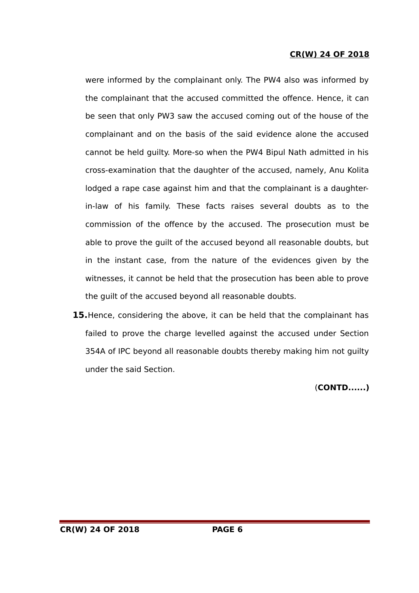were informed by the complainant only. The PW4 also was informed by the complainant that the accused committed the offence. Hence, it can be seen that only PW3 saw the accused coming out of the house of the complainant and on the basis of the said evidence alone the accused cannot be held guilty. More-so when the PW4 Bipul Nath admitted in his cross-examination that the daughter of the accused, namely, Anu Kolita lodged a rape case against him and that the complainant is a daughterin-law of his family. These facts raises several doubts as to the commission of the offence by the accused. The prosecution must be able to prove the guilt of the accused beyond all reasonable doubts, but in the instant case, from the nature of the evidences given by the witnesses, it cannot be held that the prosecution has been able to prove the guilt of the accused beyond all reasonable doubts.

**15.**Hence, considering the above, it can be held that the complainant has failed to prove the charge levelled against the accused under Section 354A of IPC beyond all reasonable doubts thereby making him not guilty under the said Section.

(**CONTD......)**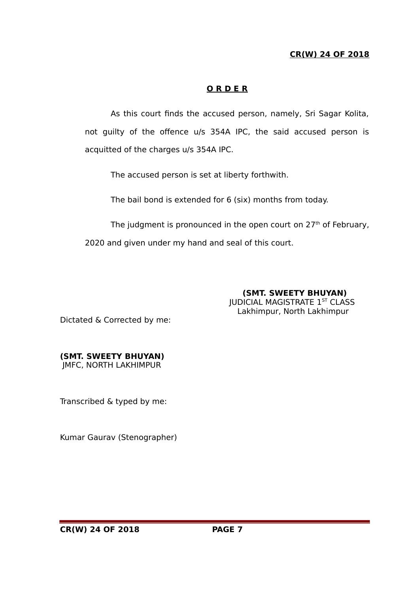# **O R D E R**

As this court finds the accused person, namely, Sri Sagar Kolita, not guilty of the offence u/s 354A IPC, the said accused person is acquitted of the charges u/s 354A IPC.

The accused person is set at liberty forthwith.

The bail bond is extended for 6 (six) months from today.

The judgment is pronounced in the open court on  $27<sup>th</sup>$  of February,

2020 and given under my hand and seal of this court.

 **(SMT. SWEETY BHUYAN) JUDICIAL MAGISTRATE 1ST CLASS** Lakhimpur, North Lakhimpur

Dictated & Corrected by me:

# **(SMT. SWEETY BHUYAN)**

JMFC, NORTH LAKHIMPUR

Transcribed & typed by me:

Kumar Gaurav (Stenographer)